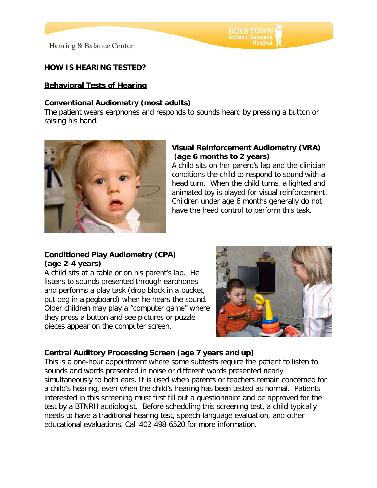# **BOYS TOWN**<br>National Research

## **HOW IS HEARING TESTED?**

#### **Behavioral Tests of Hearing**

#### **Conventional Audiometry (most adults)**

The patient wears earphones and responds to sounds heard by pressing a button or raising his hand.



## **Visual Reinforcement Audiometry (VRA) (age 6 months to 2 years)**

A child sits on her parent's lap and the clinician conditions the child to respond to sound with a head turn. When the child turns, a lighted and animated toy is played for visual reinforcement. Children under age 6 months generally do not have the head control to perform this task.

### **Conditioned Play Audiometry (CPA) (age 2-4 years)**

A child sits at a table or on his parent's lap. He listens to sounds presented through earphones and performs a play task (drop block in a bucket, put peg in a pegboard) when he hears the sound. Older children may play a "computer game" where they press a button and see pictures or puzzle pieces appear on the computer screen.



## **Central Auditory Processing Screen (age 7 years and up)**

This is a one-hour appointment where some subtests require the patient to listen to sounds and words presented in noise or different words presented nearly simultaneously to both ears. It is used when parents or teachers remain concerned for a child's hearing, even when the child's hearing has been tested as normal. Patients interested in this screening must first fill out a questionnaire and be approved for the test by a BTNRH audiologist. Before scheduling this screening test, a child typically needs to have a traditional hearing test, speech-language evaluation, and other educational evaluations. Call 402-498-6520 for more information.